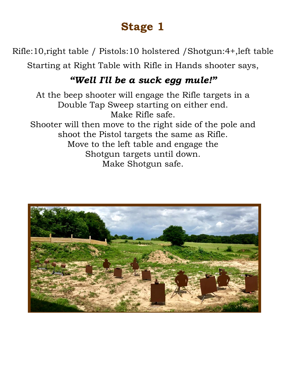Rifle:10,right table / Pistols:10 holstered /Shotgun:4+,left table

Starting at Right Table with Rifle in Hands shooter says,

#### *"Well I'll be a suck egg mule!"*

At the beep shooter will engage the Rifle targets in a Double Tap Sweep starting on either end. Make Rifle safe. Shooter will then move to the right side of the pole and shoot the Pistol targets the same as Rifle. Move to the left table and engage the Shotgun targets until down. Make Shotgun safe.

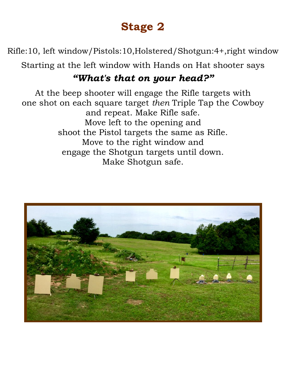Rifle:10, left window/Pistols:10,Holstered/Shotgun:4+,right window

Starting at the left window with Hands on Hat shooter says

#### *"What's that on your head?"*

At the beep shooter will engage the Rifle targets with one shot on each square target *then* Triple Tap the Cowboy and repeat. Make Rifle safe. Move left to the opening and shoot the Pistol targets the same as Rifle. Move to the right window and engage the Shotgun targets until down. Make Shotgun safe.

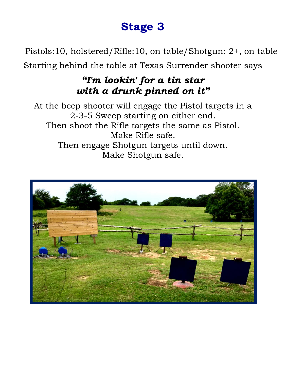Pistols:10, holstered/Rifle:10, on table/Shotgun: 2+, on table

Starting behind the table at Texas Surrender shooter says

#### *"I'm lookin' for a tin star with a drunk pinned on it"*

At the beep shooter will engage the Pistol targets in a 2-3-5 Sweep starting on either end. Then shoot the Rifle targets the same as Pistol. Make Rifle safe. Then engage Shotgun targets until down. Make Shotgun safe.

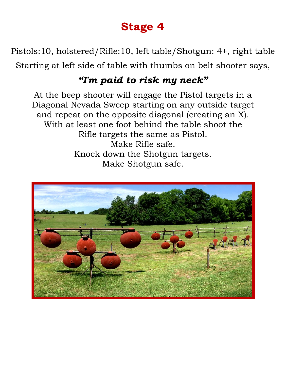Pistols:10, holstered/Rifle:10, left table/Shotgun: 4+, right table Starting at left side of table with thumbs on belt shooter says,

#### *"I'm paid to risk my neck"*

At the beep shooter will engage the Pistol targets in a Diagonal Nevada Sweep starting on any outside target and repeat on the opposite diagonal (creating an X). With at least one foot behind the table shoot the Rifle targets the same as Pistol. Make Rifle safe. Knock down the Shotgun targets. Make Shotgun safe.

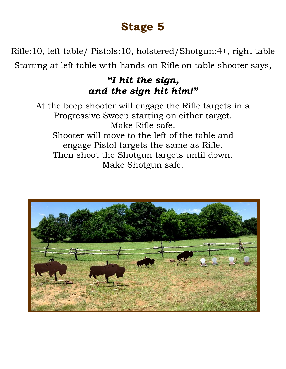Rifle:10, left table/ Pistols:10, holstered/Shotgun:4+, right table Starting at left table with hands on Rifle on table shooter says,

#### *"I hit the sign, and the sign hit him!"*

At the beep shooter will engage the Rifle targets in a Progressive Sweep starting on either target. Make Rifle safe. Shooter will move to the left of the table and engage Pistol targets the same as Rifle. Then shoot the Shotgun targets until down. Make Shotgun safe.